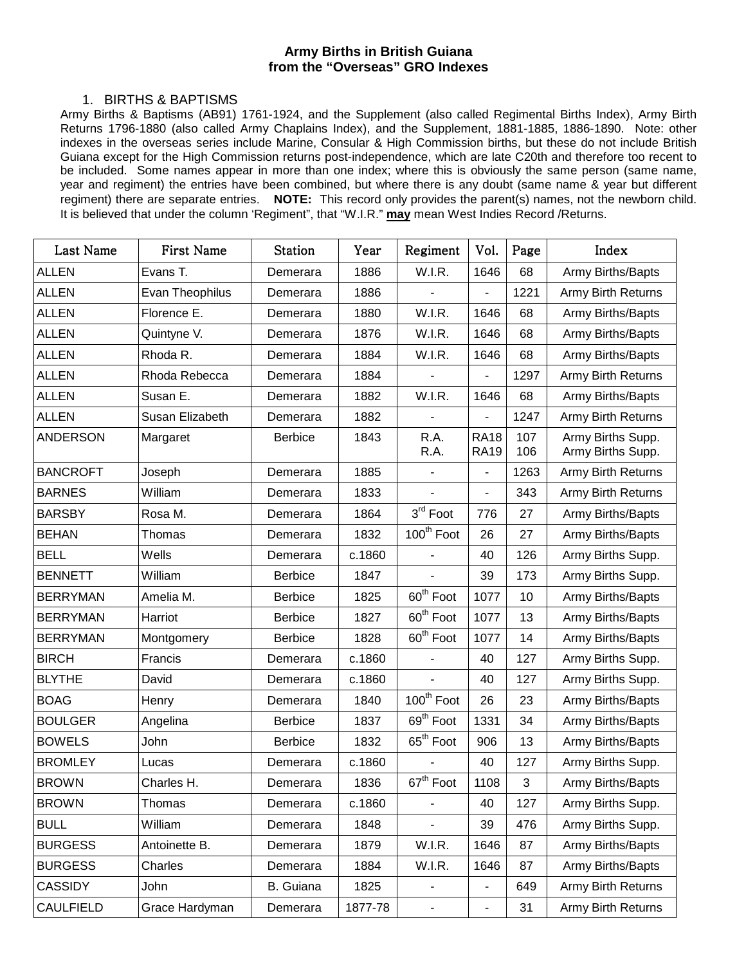## **Army Births in British Guiana from the "Overseas" GRO Indexes**

## 1. BIRTHS & BAPTISMS

Army Births & Baptisms (AB91) 1761-1924, and the Supplement (also called Regimental Births Index), Army Birth Returns 1796-1880 (also called Army Chaplains Index), and the Supplement, 1881-1885, 1886-1890. Note: other indexes in the overseas series include Marine, Consular & High Commission births, but these do not include British Guiana except for the High Commission returns post-independence, which are late C20th and therefore too recent to be included. Some names appear in more than one index; where this is obviously the same person (same name, year and regiment) the entries have been combined, but where there is any doubt (same name & year but different regiment) there are separate entries. **NOTE:** This record only provides the parent(s) names, not the newborn child. It is believed that under the column 'Regiment", that "W.I.R." **may** mean West Indies Record /Returns.

| Last Name        | First Name      | <b>Station</b> | Year    | Regiment                 | Vol.                       | Page       | Index                                  |
|------------------|-----------------|----------------|---------|--------------------------|----------------------------|------------|----------------------------------------|
| <b>ALLEN</b>     | Evans T.        | Demerara       | 1886    | W.I.R.                   | 1646                       | 68         | Army Births/Bapts                      |
| <b>ALLEN</b>     | Evan Theophilus | Demerara       | 1886    |                          |                            | 1221       | <b>Army Birth Returns</b>              |
| <b>ALLEN</b>     | Florence E.     | Demerara       | 1880    | W.I.R.                   | 1646                       | 68         | Army Births/Bapts                      |
| <b>ALLEN</b>     | Quintyne V.     | Demerara       | 1876    | W.I.R.                   | 1646                       | 68         | Army Births/Bapts                      |
| <b>ALLEN</b>     | Rhoda R.        | Demerara       | 1884    | W.I.R.                   | 1646                       | 68         | Army Births/Bapts                      |
| <b>ALLEN</b>     | Rhoda Rebecca   | Demerara       | 1884    |                          |                            | 1297       | <b>Army Birth Returns</b>              |
| <b>ALLEN</b>     | Susan E.        | Demerara       | 1882    | W.I.R.                   | 1646                       | 68         | Army Births/Bapts                      |
| <b>ALLEN</b>     | Susan Elizabeth | Demerara       | 1882    |                          | $\blacksquare$             | 1247       | <b>Army Birth Returns</b>              |
| <b>ANDERSON</b>  | Margaret        | <b>Berbice</b> | 1843    | R.A.<br>R.A.             | <b>RA18</b><br><b>RA19</b> | 107<br>106 | Army Births Supp.<br>Army Births Supp. |
| <b>BANCROFT</b>  | Joseph          | Demerara       | 1885    |                          | $\overline{\phantom{a}}$   | 1263       | Army Birth Returns                     |
| <b>BARNES</b>    | William         | Demerara       | 1833    |                          |                            | 343        | <b>Army Birth Returns</b>              |
| <b>BARSBY</b>    | Rosa M.         | Demerara       | 1864    | $3rd$ Foot               | 776                        | 27         | Army Births/Bapts                      |
| <b>BEHAN</b>     | Thomas          | Demerara       | 1832    | 100 <sup>th</sup> Foot   | 26                         | 27         | Army Births/Bapts                      |
| <b>BELL</b>      | Wells           | Demerara       | c.1860  |                          | 40                         | 126        | Army Births Supp.                      |
| <b>BENNETT</b>   | William         | <b>Berbice</b> | 1847    |                          | 39                         | 173        | Army Births Supp.                      |
| <b>BERRYMAN</b>  | Amelia M.       | <b>Berbice</b> | 1825    | 60 <sup>th</sup> Foot    | 1077                       | 10         | Army Births/Bapts                      |
| <b>BERRYMAN</b>  | Harriot         | <b>Berbice</b> | 1827    | 60 <sup>th</sup> Foot    | 1077                       | 13         | Army Births/Bapts                      |
| <b>BERRYMAN</b>  | Montgomery      | <b>Berbice</b> | 1828    | 60 <sup>th</sup> Foot    | 1077                       | 14         | Army Births/Bapts                      |
| <b>BIRCH</b>     | Francis         | Demerara       | c.1860  |                          | 40                         | 127        | Army Births Supp.                      |
| <b>BLYTHE</b>    | David           | Demerara       | c.1860  |                          | 40                         | 127        | Army Births Supp.                      |
| <b>BOAG</b>      | Henry           | Demerara       | 1840    | 100 <sup>th</sup> Foot   | 26                         | 23         | Army Births/Bapts                      |
| <b>BOULGER</b>   | Angelina        | <b>Berbice</b> | 1837    | 69 <sup>th</sup> Foot    | 1331                       | 34         | Army Births/Bapts                      |
| <b>BOWELS</b>    | John            | <b>Berbice</b> | 1832    | 65 <sup>th</sup> Foot    | 906                        | 13         | Army Births/Bapts                      |
| <b>BROMLEY</b>   | Lucas           | Demerara       | c.1860  |                          | 40                         | 127        | Army Births Supp.                      |
| <b>BROWN</b>     | Charles H.      | Demerara       | 1836    | 67 <sup>th</sup> Foot    | 1108                       | 3          | Army Births/Bapts                      |
| <b>BROWN</b>     | Thomas          | Demerara       | c.1860  | $\overline{\phantom{m}}$ | 40                         | 127        | Army Births Supp.                      |
| <b>BULL</b>      | William         | Demerara       | 1848    |                          | 39                         | 476        | Army Births Supp.                      |
| <b>BURGESS</b>   | Antoinette B.   | Demerara       | 1879    | W.I.R.                   | 1646                       | 87         | Army Births/Bapts                      |
| <b>BURGESS</b>   | Charles         | Demerara       | 1884    | W.I.R.                   | 1646                       | 87         | Army Births/Bapts                      |
| <b>CASSIDY</b>   | John            | B. Guiana      | 1825    | $\overline{\phantom{m}}$ | $\blacksquare$             | 649        | Army Birth Returns                     |
| <b>CAULFIELD</b> | Grace Hardyman  | Demerara       | 1877-78 | -                        | $\overline{\phantom{a}}$   | 31         | Army Birth Returns                     |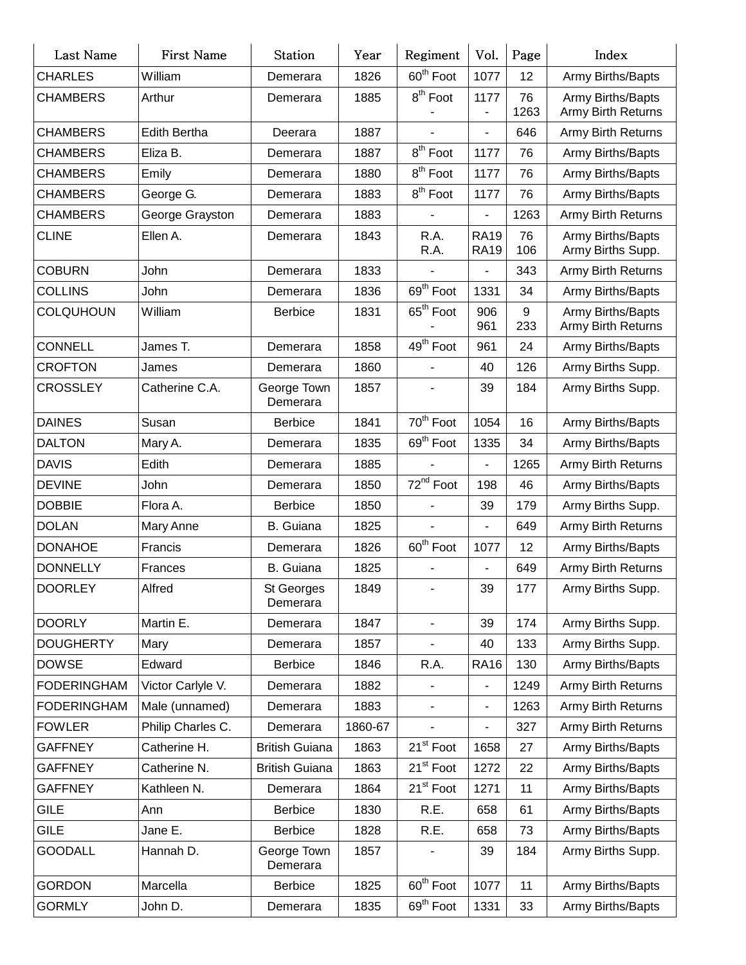| Last Name          | <b>First Name</b> | <b>Station</b>          | Year    | Regiment              | Vol.                         | Page       | Index                                          |
|--------------------|-------------------|-------------------------|---------|-----------------------|------------------------------|------------|------------------------------------------------|
| <b>CHARLES</b>     | William           | Demerara                | 1826    | 60 <sup>th</sup> Foot | 1077                         | 12         | Army Births/Bapts                              |
| <b>CHAMBERS</b>    | Arthur            | Demerara                | 1885    | 8 <sup>th</sup> Foot  | 1177                         | 76<br>1263 | Army Births/Bapts<br>Army Birth Returns        |
| <b>CHAMBERS</b>    | Edith Bertha      | Deerara                 | 1887    |                       |                              | 646        | Army Birth Returns                             |
| <b>CHAMBERS</b>    | Eliza B.          | Demerara                | 1887    | 8 <sup>th</sup> Foot  | 1177                         | 76         | Army Births/Bapts                              |
| <b>CHAMBERS</b>    | Emily             | Demerara                | 1880    | 8 <sup>th</sup> Foot  | 1177                         | 76         | Army Births/Bapts                              |
| <b>CHAMBERS</b>    | George G.         | Demerara                | 1883    | $8th$ Foot            | 1177                         | 76         | Army Births/Bapts                              |
| <b>CHAMBERS</b>    | George Grayston   | Demerara                | 1883    |                       |                              | 1263       | Army Birth Returns                             |
| <b>CLINE</b>       | Ellen A.          | Demerara                | 1843    | R.A.<br>R.A.          | <b>RA19</b><br><b>RA19</b>   | 76<br>106  | Army Births/Bapts<br>Army Births Supp.         |
| <b>COBURN</b>      | John              | Demerara                | 1833    |                       |                              | 343        | <b>Army Birth Returns</b>                      |
| <b>COLLINS</b>     | John              | Demerara                | 1836    | 69 <sup>th</sup> Foot | 1331                         | 34         | Army Births/Bapts                              |
| <b>COLQUHOUN</b>   | William           | <b>Berbice</b>          | 1831    | 65 <sup>th</sup> Foot | 906<br>961                   | 9<br>233   | Army Births/Bapts<br><b>Army Birth Returns</b> |
| <b>CONNELL</b>     | James T.          | Demerara                | 1858    | 49 <sup>th</sup> Foot | 961                          | 24         | Army Births/Bapts                              |
| <b>CROFTON</b>     | James             | Demerara                | 1860    |                       | 40                           | 126        | Army Births Supp.                              |
| <b>CROSSLEY</b>    | Catherine C.A.    | George Town<br>Demerara | 1857    |                       | 39                           | 184        | Army Births Supp.                              |
| <b>DAINES</b>      | Susan             | <b>Berbice</b>          | 1841    | 70 <sup>th</sup> Foot | 1054                         | 16         | Army Births/Bapts                              |
| <b>DALTON</b>      | Mary A.           | Demerara                | 1835    | 69 <sup>th</sup> Foot | 1335                         | 34         | Army Births/Bapts                              |
| <b>DAVIS</b>       | Edith             | Demerara                | 1885    |                       |                              | 1265       | Army Birth Returns                             |
| <b>DEVINE</b>      | John              | Demerara                | 1850    | 72 <sup>nd</sup> Foot | 198                          | 46         | Army Births/Bapts                              |
| <b>DOBBIE</b>      | Flora A.          | <b>Berbice</b>          | 1850    |                       | 39                           | 179        | Army Births Supp.                              |
| <b>DOLAN</b>       | Mary Anne         | <b>B.</b> Guiana        | 1825    |                       |                              | 649        | Army Birth Returns                             |
| <b>DONAHOE</b>     | Francis           | Demerara                | 1826    | 60 <sup>th</sup> Foot | 1077                         | 12         | Army Births/Bapts                              |
| <b>DONNELLY</b>    | Frances           | <b>B.</b> Guiana        | 1825    |                       |                              | 649        | Army Birth Returns                             |
| <b>DOORLEY</b>     | Alfred            | St Georges<br>Demerara  | 1849    |                       | 39                           | 177        | Army Births Supp.                              |
| <b>DOORLY</b>      | Martin E.         | Demerara                | 1847    | $\blacksquare$        | 39                           | 174        | Army Births Supp.                              |
| <b>DOUGHERTY</b>   | Mary              | Demerara                | 1857    |                       | 40                           | 133        | Army Births Supp.                              |
| <b>DOWSE</b>       | Edward            | <b>Berbice</b>          | 1846    | R.A.                  | <b>RA16</b>                  | 130        | Army Births/Bapts                              |
| <b>FODERINGHAM</b> | Victor Carlyle V. | Demerara                | 1882    |                       |                              | 1249       | Army Birth Returns                             |
| <b>FODERINGHAM</b> | Male (unnamed)    | Demerara                | 1883    |                       | $\qquad \qquad \blacksquare$ | 1263       | Army Birth Returns                             |
| <b>FOWLER</b>      | Philip Charles C. | Demerara                | 1860-67 |                       | $\qquad \qquad \blacksquare$ | 327        | Army Birth Returns                             |
| <b>GAFFNEY</b>     | Catherine H.      | <b>British Guiana</b>   | 1863    | 21 <sup>st</sup> Foot | 1658                         | 27         | Army Births/Bapts                              |
| <b>GAFFNEY</b>     | Catherine N.      | <b>British Guiana</b>   | 1863    | 21 <sup>st</sup> Foot | 1272                         | 22         | Army Births/Bapts                              |
| <b>GAFFNEY</b>     | Kathleen N.       | Demerara                | 1864    | 21 <sup>st</sup> Foot | 1271                         | 11         | Army Births/Bapts                              |
| <b>GILE</b>        | Ann               | <b>Berbice</b>          | 1830    | R.E.                  | 658                          | 61         | Army Births/Bapts                              |
| <b>GILE</b>        | Jane E.           | <b>Berbice</b>          | 1828    | R.E.                  | 658                          | 73         | Army Births/Bapts                              |
| <b>GOODALL</b>     | Hannah D.         | George Town<br>Demerara | 1857    |                       | 39                           | 184        | Army Births Supp.                              |
| <b>GORDON</b>      | Marcella          | <b>Berbice</b>          | 1825    | 60 <sup>th</sup> Foot | 1077                         | 11         | Army Births/Bapts                              |
| <b>GORMLY</b>      | John D.           | Demerara                | 1835    | $69th$ Foot           | 1331                         | 33         | Army Births/Bapts                              |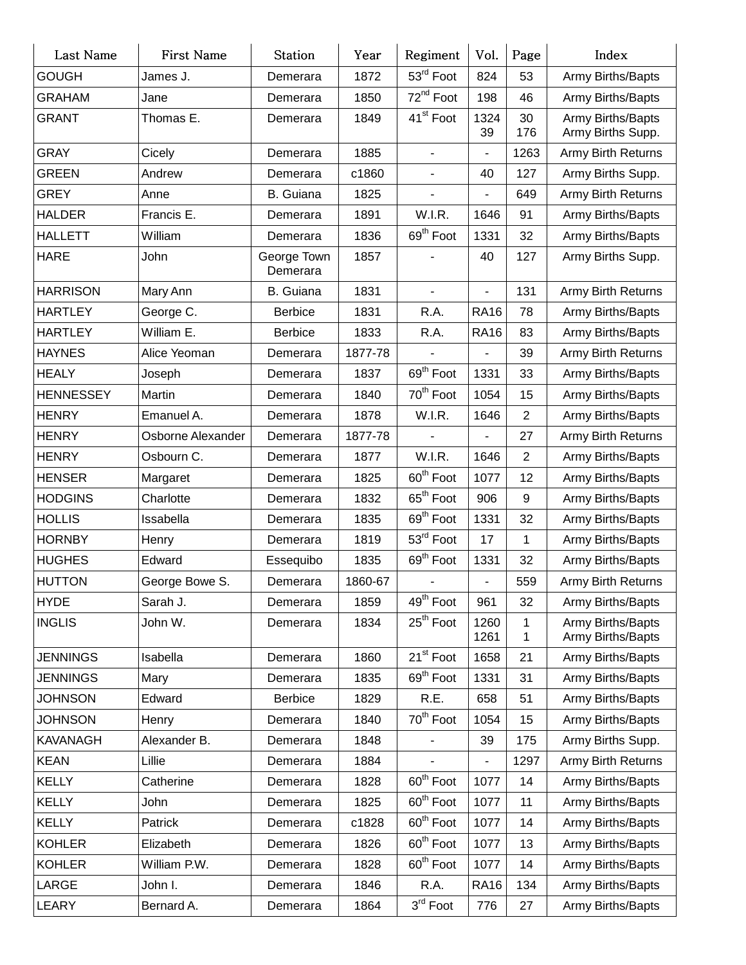| Last Name        | First Name        | <b>Station</b>          | Year    | Regiment                 | Vol.                     | Page             | Index                                  |
|------------------|-------------------|-------------------------|---------|--------------------------|--------------------------|------------------|----------------------------------------|
| <b>GOUGH</b>     | James J.          | Demerara                | 1872    | 53rd Foot                | 824                      | 53               | Army Births/Bapts                      |
| <b>GRAHAM</b>    | Jane              | Demerara                | 1850    | 72 <sup>nd</sup> Foot    | 198                      | 46               | Army Births/Bapts                      |
| <b>GRANT</b>     | Thomas E.         | Demerara                | 1849    | 41 <sup>st</sup> Foot    | 1324<br>39               | 30<br>176        | Army Births/Bapts<br>Army Births Supp. |
| <b>GRAY</b>      | Cicely            | Demerara                | 1885    | $\overline{\phantom{a}}$ |                          | 1263             | Army Birth Returns                     |
| <b>GREEN</b>     | Andrew            | Demerara                | c1860   | $\overline{\phantom{a}}$ | 40                       | 127              | Army Births Supp.                      |
| <b>GREY</b>      | Anne              | B. Guiana               | 1825    | $\blacksquare$           | $\blacksquare$           | 649              | Army Birth Returns                     |
| <b>HALDER</b>    | Francis E.        | Demerara                | 1891    | W.I.R.                   | 1646                     | 91               | Army Births/Bapts                      |
| <b>HALLETT</b>   | William           | Demerara                | 1836    | 69 <sup>th</sup> Foot    | 1331                     | 32               | Army Births/Bapts                      |
| <b>HARE</b>      | John              | George Town<br>Demerara | 1857    |                          | 40                       | 127              | Army Births Supp.                      |
| <b>HARRISON</b>  | Mary Ann          | <b>B.</b> Guiana        | 1831    |                          |                          | 131              | Army Birth Returns                     |
| <b>HARTLEY</b>   | George C.         | <b>Berbice</b>          | 1831    | R.A.                     | <b>RA16</b>              | 78               | Army Births/Bapts                      |
| <b>HARTLEY</b>   | William E.        | <b>Berbice</b>          | 1833    | R.A.                     | <b>RA16</b>              | 83               | Army Births/Bapts                      |
| <b>HAYNES</b>    | Alice Yeoman      | Demerara                | 1877-78 |                          |                          | 39               | Army Birth Returns                     |
| <b>HEALY</b>     | Joseph            | Demerara                | 1837    | 69 <sup>th</sup> Foot    | 1331                     | 33               | Army Births/Bapts                      |
| <b>HENNESSEY</b> | Martin            | Demerara                | 1840    | 70 <sup>th</sup> Foot    | 1054                     | 15               | Army Births/Bapts                      |
| <b>HENRY</b>     | Emanuel A.        | Demerara                | 1878    | W.I.R.                   | 1646                     | $\overline{2}$   | Army Births/Bapts                      |
| <b>HENRY</b>     | Osborne Alexander | Demerara                | 1877-78 |                          |                          | 27               | Army Birth Returns                     |
| <b>HENRY</b>     | Osbourn C.        | Demerara                | 1877    | W.I.R.                   | 1646                     | $\overline{2}$   | Army Births/Bapts                      |
| <b>HENSER</b>    | Margaret          | Demerara                | 1825    | 60 <sup>th</sup> Foot    | 1077                     | 12               | Army Births/Bapts                      |
| <b>HODGINS</b>   | Charlotte         | Demerara                | 1832    | 65 <sup>th</sup> Foot    | 906                      | $\boldsymbol{9}$ | Army Births/Bapts                      |
| <b>HOLLIS</b>    | Issabella         | Demerara                | 1835    | 69 <sup>th</sup> Foot    | 1331                     | 32               | Army Births/Bapts                      |
| <b>HORNBY</b>    | Henry             | Demerara                | 1819    | 53rd Foot                | 17                       | $\mathbf{1}$     | Army Births/Bapts                      |
| <b>HUGHES</b>    | Edward            | Essequibo               | 1835    | 69 <sup>th</sup> Foot    | 1331                     | 32               | Army Births/Bapts                      |
| <b>HUTTON</b>    | George Bowe S.    | Demerara                | 1860-67 |                          | $\overline{\phantom{a}}$ | 559              | Army Birth Returns                     |
| <b>HYDE</b>      | Sarah J.          | Demerara                | 1859    | 49 <sup>th</sup> Foot    | 961                      | 32               | Army Births/Bapts                      |
| <b>INGLIS</b>    | John W.           | Demerara                | 1834    | $25^{\text{th}}$ Foot    | 1260<br>1261             | 1<br>1           | Army Births/Bapts<br>Army Births/Bapts |
| <b>JENNINGS</b>  | Isabella          | Demerara                | 1860    | 21 <sup>st</sup> Foot    | 1658                     | 21               | Army Births/Bapts                      |
| <b>JENNINGS</b>  | Mary              | Demerara                | 1835    | 69 <sup>th</sup> Foot    | 1331                     | 31               | Army Births/Bapts                      |
| <b>JOHNSON</b>   | Edward            | <b>Berbice</b>          | 1829    | R.E.                     | 658                      | 51               | Army Births/Bapts                      |
| <b>JOHNSON</b>   | Henry             | Demerara                | 1840    | 70 <sup>th</sup> Foot    | 1054                     | 15               | Army Births/Bapts                      |
| <b>KAVANAGH</b>  | Alexander B.      | Demerara                | 1848    | ٠                        | 39                       | 175              | Army Births Supp.                      |
| <b>KEAN</b>      | Lillie            | Demerara                | 1884    |                          |                          | 1297             | Army Birth Returns                     |
| <b>KELLY</b>     | Catherine         | Demerara                | 1828    | 60 <sup>th</sup> Foot    | 1077                     | 14               | Army Births/Bapts                      |
| <b>KELLY</b>     | John              | Demerara                | 1825    | 60 <sup>th</sup> Foot    | 1077                     | 11               | Army Births/Bapts                      |
| <b>KELLY</b>     | Patrick           | Demerara                | c1828   | 60 <sup>th</sup> Foot    | 1077                     | 14               | Army Births/Bapts                      |
| <b>KOHLER</b>    | Elizabeth         | Demerara                | 1826    | 60 <sup>th</sup> Foot    | 1077                     | 13               | Army Births/Bapts                      |
| <b>KOHLER</b>    | William P.W.      | Demerara                | 1828    | 60 <sup>th</sup> Foot    | 1077                     | 14               | Army Births/Bapts                      |
| LARGE            | John I.           | Demerara                | 1846    | R.A.                     | <b>RA16</b>              | 134              | Army Births/Bapts                      |
| LEARY            | Bernard A.        | Demerara                | 1864    | 3 <sup>rd</sup> Foot     | 776                      | 27               | Army Births/Bapts                      |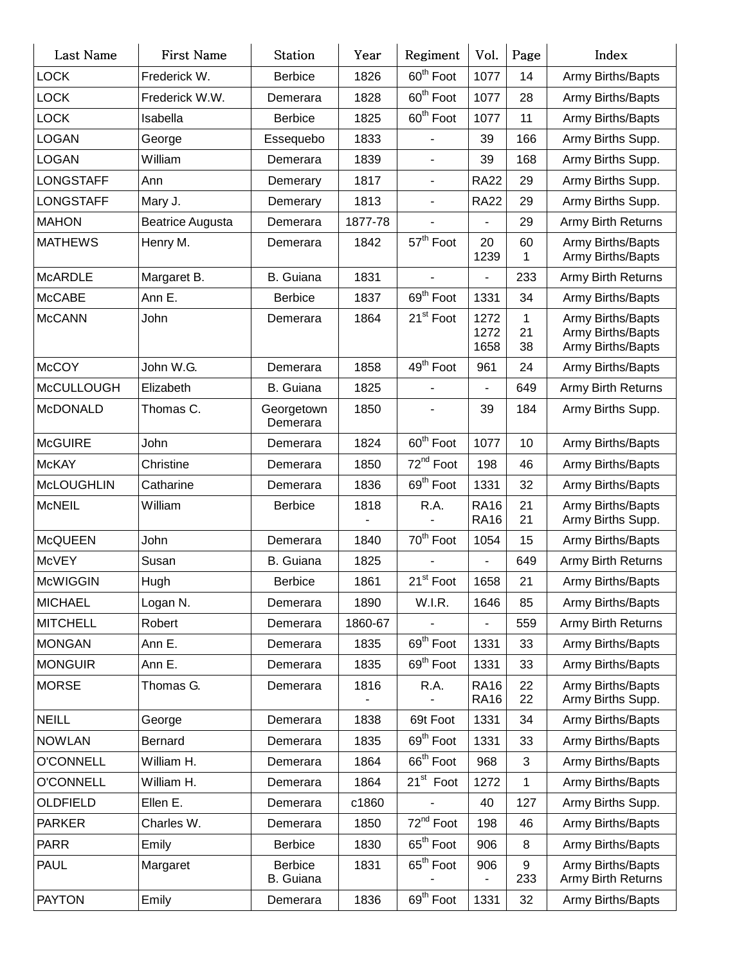| Last Name         | First Name              | Station                     | Year    | Regiment                 | Vol.                       | Page                     | Index                                                       |
|-------------------|-------------------------|-----------------------------|---------|--------------------------|----------------------------|--------------------------|-------------------------------------------------------------|
| <b>LOCK</b>       | Frederick W.            | <b>Berbice</b>              | 1826    | 60 <sup>th</sup> Foot    | 1077                       | 14                       | Army Births/Bapts                                           |
| <b>LOCK</b>       | Frederick W.W.          | Demerara                    | 1828    | 60 <sup>th</sup> Foot    | 1077                       | 28                       | Army Births/Bapts                                           |
| <b>LOCK</b>       | Isabella                | <b>Berbice</b>              | 1825    | 60 <sup>th</sup> Foot    | 1077                       | 11                       | Army Births/Bapts                                           |
| <b>LOGAN</b>      | George                  | Essequebo                   | 1833    |                          | 39                         | 166                      | Army Births Supp.                                           |
| <b>LOGAN</b>      | William                 | Demerara                    | 1839    |                          | 39                         | 168                      | Army Births Supp.                                           |
| <b>LONGSTAFF</b>  | Ann                     | Demerary                    | 1817    | $\overline{\phantom{a}}$ | <b>RA22</b>                | 29                       | Army Births Supp.                                           |
| <b>LONGSTAFF</b>  | Mary J.                 | Demerary                    | 1813    | $\blacksquare$           | <b>RA22</b>                | 29                       | Army Births Supp.                                           |
| <b>MAHON</b>      | <b>Beatrice Augusta</b> | Demerara                    | 1877-78 |                          |                            | 29                       | <b>Army Birth Returns</b>                                   |
| <b>MATHEWS</b>    | Henry M.                | Demerara                    | 1842    | 57 <sup>th</sup> Foot    | 20<br>1239                 | 60<br>1                  | Army Births/Bapts<br>Army Births/Bapts                      |
| <b>McARDLE</b>    | Margaret B.             | <b>B.</b> Guiana            | 1831    |                          |                            | 233                      | Army Birth Returns                                          |
| <b>McCABE</b>     | Ann E.                  | <b>Berbice</b>              | 1837    | 69 <sup>th</sup> Foot    | 1331                       | 34                       | Army Births/Bapts                                           |
| <b>McCANN</b>     | John                    | Demerara                    | 1864    | 21 <sup>st</sup> Foot    | 1272<br>1272<br>1658       | $\mathbf{1}$<br>21<br>38 | Army Births/Bapts<br>Army Births/Bapts<br>Army Births/Bapts |
| <b>McCOY</b>      | John W.G.               | Demerara                    | 1858    | 49 <sup>th</sup> Foot    | 961                        | 24                       | Army Births/Bapts                                           |
| <b>McCULLOUGH</b> | Elizabeth               | <b>B.</b> Guiana            | 1825    |                          |                            | 649                      | Army Birth Returns                                          |
| <b>McDONALD</b>   | Thomas C.               | Georgetown<br>Demerara      | 1850    |                          | 39                         | 184                      | Army Births Supp.                                           |
| <b>McGUIRE</b>    | John                    | Demerara                    | 1824    | 60 <sup>th</sup> Foot    | 1077                       | 10                       | Army Births/Bapts                                           |
| <b>McKAY</b>      | Christine               | Demerara                    | 1850    | 72 <sup>nd</sup> Foot    | 198                        | 46                       | Army Births/Bapts                                           |
| <b>McLOUGHLIN</b> | Catharine               | Demerara                    | 1836    | 69 <sup>th</sup> Foot    | 1331                       | 32                       | Army Births/Bapts                                           |
| <b>McNEIL</b>     | William                 | <b>Berbice</b>              | 1818    | R.A.                     | <b>RA16</b><br><b>RA16</b> | 21<br>21                 | Army Births/Bapts<br>Army Births Supp.                      |
| <b>McQUEEN</b>    | John                    | Demerara                    | 1840    | 70 <sup>th</sup> Foot    | 1054                       | 15                       | Army Births/Bapts                                           |
| <b>McVEY</b>      | Susan                   | B. Guiana                   | 1825    |                          |                            | 649                      | Army Birth Returns                                          |
| <b>McWIGGIN</b>   | Hugh                    | <b>Berbice</b>              | 1861    | 21 <sup>st</sup> Foot    | 1658                       | 21                       | Army Births/Bapts                                           |
| <b>MICHAEL</b>    | Logan N.                | Demerara                    | 1890    | W.I.R.                   | 1646                       | 85                       | Army Births/Bapts                                           |
| <b>MITCHELL</b>   | Robert                  | Demerara                    | 1860-67 |                          |                            | 559                      | <b>Army Birth Returns</b>                                   |
| <b>MONGAN</b>     | Ann E.                  | Demerara                    | 1835    | 69 <sup>th</sup> Foot    | 1331                       | 33                       | Army Births/Bapts                                           |
| <b>MONGUIR</b>    | Ann E.                  | Demerara                    | 1835    | 69 <sup>th</sup> Foot    | 1331                       | 33                       | Army Births/Bapts                                           |
| <b>MORSE</b>      | Thomas G.               | Demerara                    | 1816    | R.A.                     | <b>RA16</b><br><b>RA16</b> | 22<br>22                 | Army Births/Bapts<br>Army Births Supp.                      |
| <b>NEILL</b>      | George                  | Demerara                    | 1838    | 69t Foot                 | 1331                       | 34                       | Army Births/Bapts                                           |
| <b>NOWLAN</b>     | Bernard                 | Demerara                    | 1835    | 69 <sup>th</sup> Foot    | 1331                       | 33                       | Army Births/Bapts                                           |
| <b>O'CONNELL</b>  | William H.              | Demerara                    | 1864    | 66 <sup>th</sup> Foot    | 968                        | $\mathbf{3}$             | Army Births/Bapts                                           |
| <b>O'CONNELL</b>  | William H.              | Demerara                    | 1864    | 21 <sup>st</sup> Foot    | 1272                       | $\mathbf{1}$             | Army Births/Bapts                                           |
| <b>OLDFIELD</b>   | Ellen E.                | Demerara                    | c1860   |                          | 40                         | 127                      | Army Births Supp.                                           |
| <b>PARKER</b>     | Charles W.              | Demerara                    | 1850    | 72 <sup>nd</sup> Foot    | 198                        | 46                       | Army Births/Bapts                                           |
| <b>PARR</b>       | Emily                   | <b>Berbice</b>              | 1830    | 65 <sup>th</sup> Foot    | 906                        | 8                        | Army Births/Bapts                                           |
| <b>PAUL</b>       | Margaret                | <b>Berbice</b><br>B. Guiana | 1831    | 65 <sup>th</sup> Foot    | 906                        | 9<br>233                 | Army Births/Bapts<br>Army Birth Returns                     |
| <b>PAYTON</b>     | Emily                   | Demerara                    | 1836    | 69 <sup>th</sup> Foot    | 1331                       | 32                       | Army Births/Bapts                                           |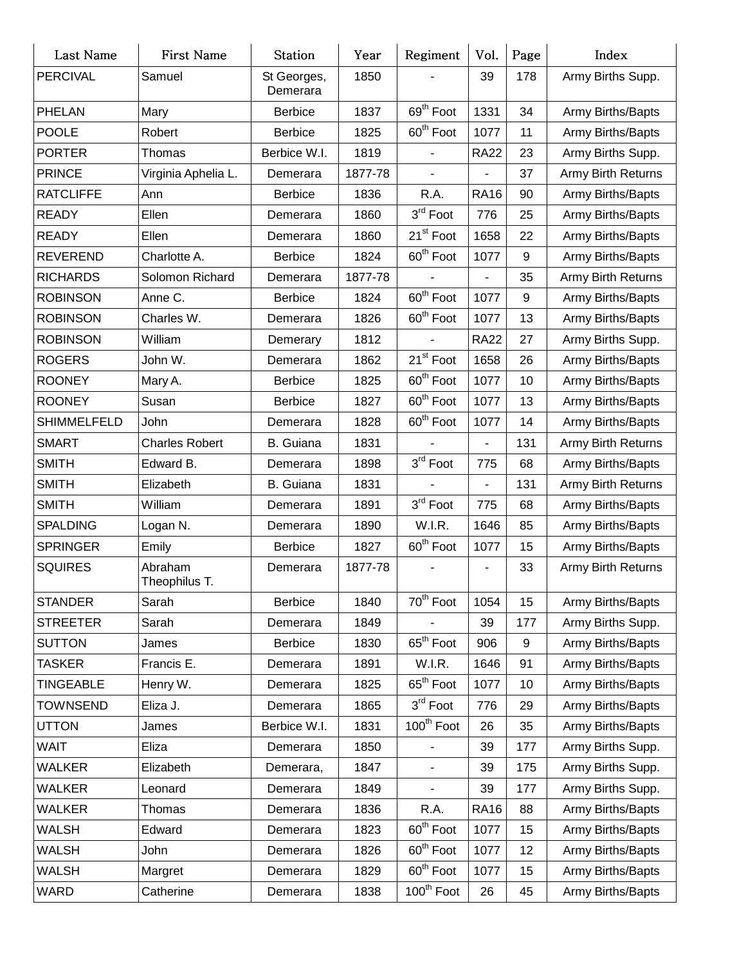| Last Name          | First Name               | <b>Station</b>          | Year    | Regiment                 | Vol.          | Page | Index              |
|--------------------|--------------------------|-------------------------|---------|--------------------------|---------------|------|--------------------|
| <b>PERCIVAL</b>    | Samuel                   | St Georges,<br>Demerara | 1850    |                          | 39            | 178  | Army Births Supp.  |
| <b>PHELAN</b>      | Mary                     | <b>Berbice</b>          | 1837    | 69 <sup>th</sup> Foot    | 1331          | 34   | Army Births/Bapts  |
| <b>POOLE</b>       | Robert                   | <b>Berbice</b>          | 1825    | 60 <sup>th</sup> Foot    | 1077          | 11   | Army Births/Bapts  |
| <b>PORTER</b>      | Thomas                   | Berbice W.I.            | 1819    | $\overline{\phantom{0}}$ | <b>RA22</b>   | 23   | Army Births Supp.  |
| <b>PRINCE</b>      | Virginia Aphelia L.      | Demerara                | 1877-78 |                          |               | 37   | Army Birth Returns |
| <b>RATCLIFFE</b>   | Ann                      | <b>Berbice</b>          | 1836    | R.A.                     | <b>RA16</b>   | 90   | Army Births/Bapts  |
| <b>READY</b>       | Ellen                    | Demerara                | 1860    | $3rd$ Foot               | 776           | 25   | Army Births/Bapts  |
| <b>READY</b>       | Ellen                    | Demerara                | 1860    | 21 <sup>st</sup> Foot    | 1658          | 22   | Army Births/Bapts  |
| <b>REVEREND</b>    | Charlotte A.             | <b>Berbice</b>          | 1824    | 60 <sup>th</sup> Foot    | 1077          | 9    | Army Births/Bapts  |
| <b>RICHARDS</b>    | Solomon Richard          | Demerara                | 1877-78 |                          |               | 35   | Army Birth Returns |
| <b>ROBINSON</b>    | Anne C.                  | <b>Berbice</b>          | 1824    | 60 <sup>th</sup> Foot    | 1077          | 9    | Army Births/Bapts  |
| <b>ROBINSON</b>    | Charles W.               | Demerara                | 1826    | 60 <sup>th</sup> Foot    | 1077          | 13   | Army Births/Bapts  |
| <b>ROBINSON</b>    | William                  | Demerary                | 1812    |                          | <b>RA22</b>   | 27   | Army Births Supp.  |
| <b>ROGERS</b>      | John W.                  | Demerara                | 1862    | 21 <sup>st</sup> Foot    | 1658          | 26   | Army Births/Bapts  |
| <b>ROONEY</b>      | Mary A.                  | <b>Berbice</b>          | 1825    | 60 <sup>th</sup> Foot    | 1077          | 10   | Army Births/Bapts  |
| <b>ROONEY</b>      | Susan                    | <b>Berbice</b>          | 1827    | 60 <sup>th</sup> Foot    | 1077          | 13   | Army Births/Bapts  |
| <b>SHIMMELFELD</b> | John                     | Demerara                | 1828    | 60 <sup>th</sup> Foot    | 1077          | 14   | Army Births/Bapts  |
| <b>SMART</b>       | <b>Charles Robert</b>    | <b>B.</b> Guiana        | 1831    |                          |               | 131  | Army Birth Returns |
| <b>SMITH</b>       | Edward B.                | Demerara                | 1898    | $3rd$ Foot               | 775           | 68   | Army Births/Bapts  |
| <b>SMITH</b>       | Elizabeth                | <b>B.</b> Guiana        | 1831    |                          | $\frac{1}{2}$ | 131  | Army Birth Returns |
| <b>SMITH</b>       | William                  | Demerara                | 1891    | 3rd Foot                 | 775           | 68   | Army Births/Bapts  |
| <b>SPALDING</b>    | Logan N.                 | Demerara                | 1890    | W.I.R.                   | 1646          | 85   | Army Births/Bapts  |
| <b>SPRINGER</b>    | Emily                    | <b>Berbice</b>          | 1827    | 60 <sup>th</sup> Foot    | 1077          | 15   | Army Births/Bapts  |
| <b>SQUIRES</b>     | Abraham<br>Theophilus T. | Demerara                | 1877-78 |                          |               | 33   | Army Birth Returns |
| <b>STANDER</b>     | Sarah                    | <b>Berbice</b>          | 1840    | 70 <sup>th</sup> Foot    | 1054          | 15   | Army Births/Bapts  |
| <b>STREETER</b>    | Sarah                    | Demerara                | 1849    |                          | 39            | 177  | Army Births Supp.  |
| <b>SUTTON</b>      | James                    | <b>Berbice</b>          | 1830    | 65 <sup>th</sup> Foot    | 906           | 9    | Army Births/Bapts  |
| TASKER             | Francis E.               | Demerara                | 1891    | W.I.R.                   | 1646          | 91   | Army Births/Bapts  |
| TINGEABLE          | Henry W.                 | Demerara                | 1825    | 65 <sup>th</sup> Foot    | 1077          | 10   | Army Births/Bapts  |
| TOWNSEND           | Eliza J.                 | Demerara                | 1865    | $3^{\text{rd}}$ Foot     | 776           | 29   | Army Births/Bapts  |
| <b>UTTON</b>       | James                    | Berbice W.I.            | 1831    | 100 <sup>th</sup> Foot   | 26            | 35   | Army Births/Bapts  |
| WAIT               | Eliza                    | Demerara                | 1850    |                          | 39            | 177  | Army Births Supp.  |
| <b>WALKER</b>      | Elizabeth                | Demerara,               | 1847    | $\overline{\phantom{a}}$ | 39            | 175  | Army Births Supp.  |
| <b>WALKER</b>      | Leonard                  | Demerara                | 1849    |                          | 39            | 177  | Army Births Supp.  |
| WALKER             | Thomas                   | Demerara                | 1836    | R.A.                     | <b>RA16</b>   | 88   | Army Births/Bapts  |
| <b>WALSH</b>       | Edward                   | Demerara                | 1823    | 60 <sup>th</sup> Foot    | 1077          | 15   | Army Births/Bapts  |
| <b>WALSH</b>       | John                     | Demerara                | 1826    | 60 <sup>th</sup> Foot    | 1077          | 12   | Army Births/Bapts  |
| WALSH              | Margret                  | Demerara                | 1829    | 60 <sup>th</sup> Foot    | 1077          | 15   | Army Births/Bapts  |
| <b>WARD</b>        | Catherine                | Demerara                | 1838    | 100 <sup>th</sup> Foot   | 26            | 45   | Army Births/Bapts  |